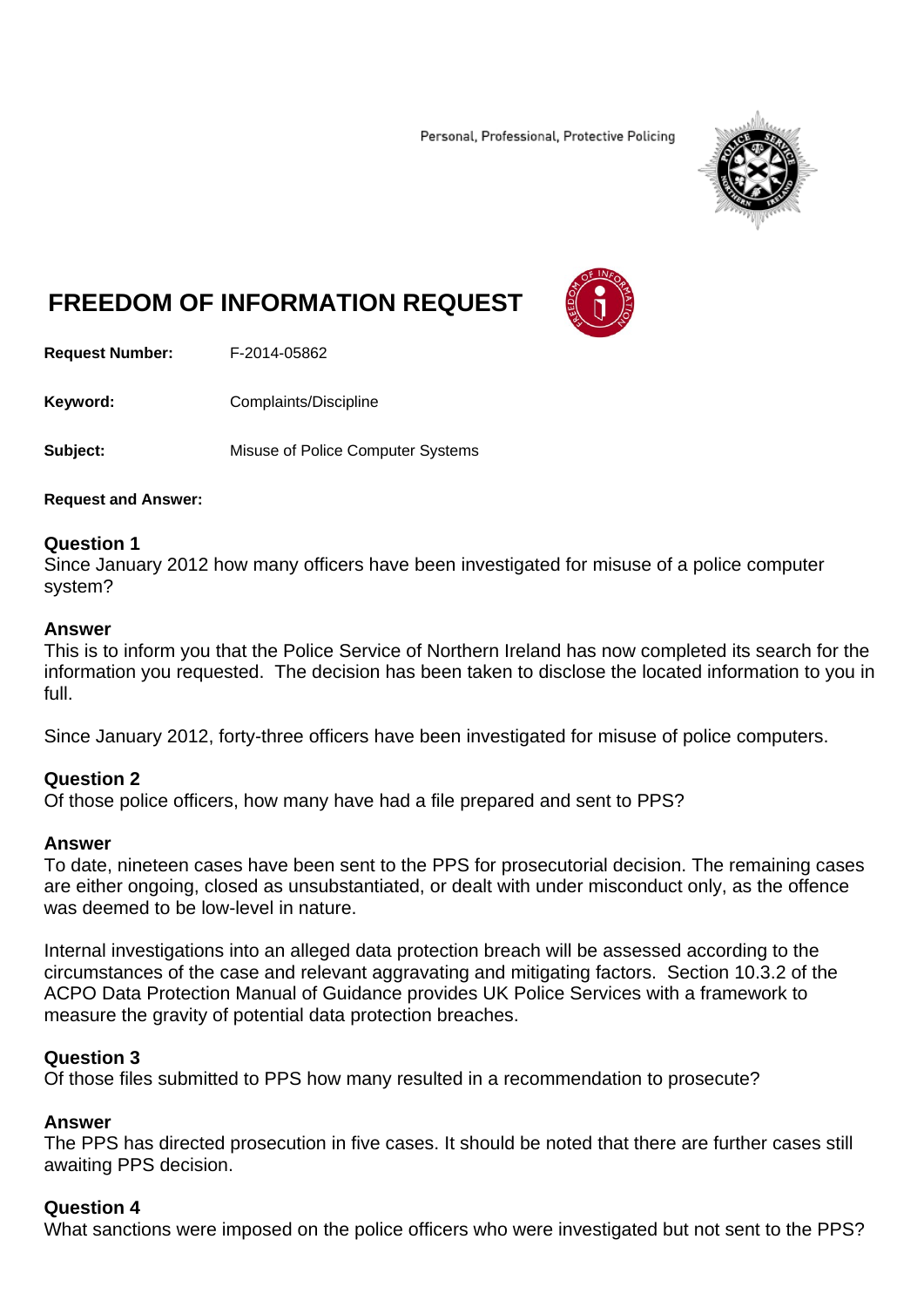Personal, Professional, Protective Policing



# **FREEDOM OF INFORMATION REQUEST**



**Request Number:** F-2014-05862

**Keyword: Complaints/Discipline** 

**Subject:** Misuse of Police Computer Systems

#### **Request and Answer:**

### **Question 1**

Since January 2012 how many officers have been investigated for misuse of a police computer system?

### **Answer**

This is to inform you that the Police Service of Northern Ireland has now completed its search for the information you requested. The decision has been taken to disclose the located information to you in full.

Since January 2012, forty-three officers have been investigated for misuse of police computers.

## **Question 2**

Of those police officers, how many have had a file prepared and sent to PPS?

### **Answer**

To date, nineteen cases have been sent to the PPS for prosecutorial decision. The remaining cases are either ongoing, closed as unsubstantiated, or dealt with under misconduct only, as the offence was deemed to be low-level in nature.

Internal investigations into an alleged data protection breach will be assessed according to the circumstances of the case and relevant aggravating and mitigating factors. Section 10.3.2 of the ACPO Data Protection Manual of Guidance provides UK Police Services with a framework to measure the gravity of potential data protection breaches.

### **Question 3**

Of those files submitted to PPS how many resulted in a recommendation to prosecute?

### **Answer**

The PPS has directed prosecution in five cases. It should be noted that there are further cases still awaiting PPS decision.

### **Question 4**

What sanctions were imposed on the police officers who were investigated but not sent to the PPS?